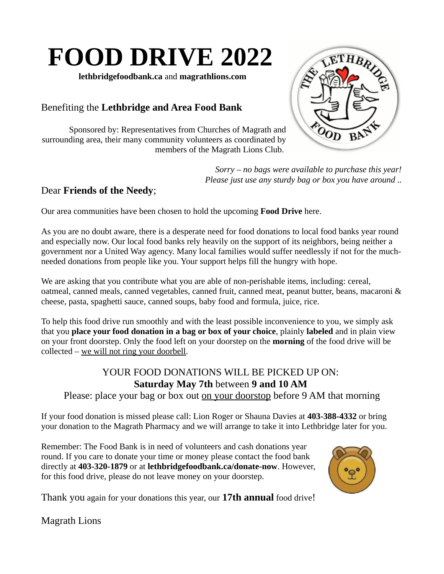### **FOOD DRIVE 2022**

**lethbridgefoodbank.ca** and **magrathlions.com** 

#### Benefiting the **Lethbridge and Area Food Bank**

Sponsored by: Representatives from Churches of Magrath and surrounding area, their many community volunteers as coordinated by members of the Magrath Lions Club.



*Sorry – no bags were available to purchase this year! Please just use any sturdy bag or box you have around ..*

#### Dear **Friends of the Needy**;

Our area communities have been chosen to hold the upcoming **Food Drive** here.

As you are no doubt aware, there is a desperate need for food donations to local food banks year round and especially now. Our local food banks rely heavily on the support of its neighbors, being neither a government nor a United Way agency. Many local families would suffer needlessly if not for the muchneeded donations from people like you. Your support helps fill the hungry with hope.

We are asking that you contribute what you are able of non-perishable items, including: cereal, oatmeal, canned meals, canned vegetables, canned fruit, canned meat, peanut butter, beans, macaroni & cheese, pasta, spaghetti sauce, canned soups, baby food and formula, juice, rice.

To help this food drive run smoothly and with the least possible inconvenience to you, we simply ask that you **place your food donation in a bag or box of your choice**, plainly **labeled** and in plain view on your front doorstep. Only the food left on your doorstep on the **morning** of the food drive will be collected – we will not ring your doorbell.

### YOUR FOOD DONATIONS WILL BE PICKED UP ON: **Saturday May 7th** between **9 and 10 AM**

Please: place your bag or box out on your doorstop before 9 AM that morning

If your food donation is missed please call: Lion Roger or Shauna Davies at **403-388-4332** or bring your donation to the Magrath Pharmacy and we will arrange to take it into Lethbridge later for you.

Remember: The Food Bank is in need of volunteers and cash donations year round. If you care to donate your time or money please contact the food bank directly at **403-320-1879** or at **lethbridgefoodbank.ca/donate-now**. However, for this food drive, please do not leave money on your doorstep.



Thank you again for your donations this year, our **17th annual** food drive!

Magrath Lions